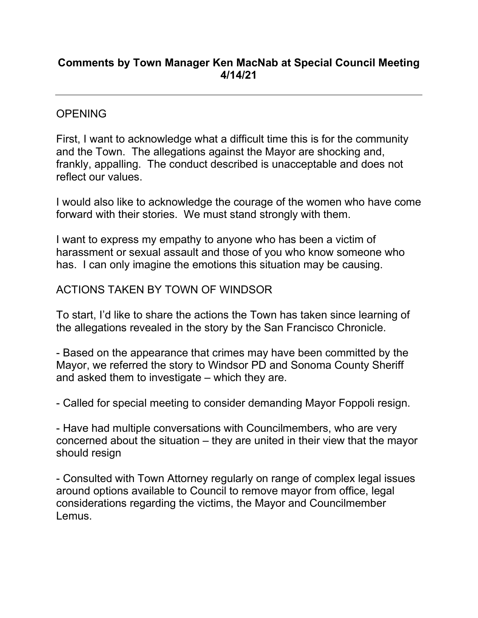# **Comments by Town Manager Ken MacNab at Special Council Meeting 4/14/21**

### **OPENING**

First, I want to acknowledge what a difficult time this is for the community and the Town. The allegations against the Mayor are shocking and, frankly, appalling. The conduct described is unacceptable and does not reflect our values.

I would also like to acknowledge the courage of the women who have come forward with their stories. We must stand strongly with them.

I want to express my empathy to anyone who has been a victim of harassment or sexual assault and those of you who know someone who has. I can only imagine the emotions this situation may be causing.

## ACTIONS TAKEN BY TOWN OF WINDSOR

To start, I'd like to share the actions the Town has taken since learning of the allegations revealed in the story by the San Francisco Chronicle.

- Based on the appearance that crimes may have been committed by the Mayor, we referred the story to Windsor PD and Sonoma County Sheriff and asked them to investigate – which they are.

- Called for special meeting to consider demanding Mayor Foppoli resign.

- Have had multiple conversations with Councilmembers, who are very concerned about the situation – they are united in their view that the mayor should resign

- Consulted with Town Attorney regularly on range of complex legal issues around options available to Council to remove mayor from office, legal considerations regarding the victims, the Mayor and Councilmember Lemus.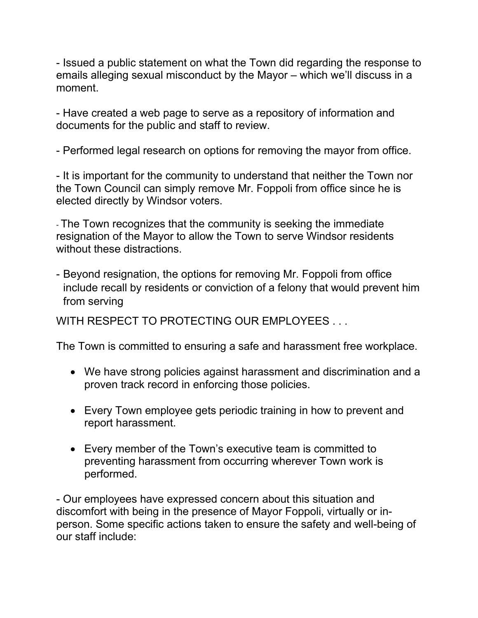- Issued a public statement on what the Town did regarding the response to emails alleging sexual misconduct by the Mayor – which we'll discuss in a moment.

- Have created a web page to serve as a repository of information and documents for the public and staff to review.

- Performed legal research on options for removing the mayor from office.

- It is important for the community to understand that neither the Town nor the Town Council can simply remove Mr. Foppoli from office since he is elected directly by Windsor voters.

- The Town recognizes that the community is seeking the immediate resignation of the Mayor to allow the Town to serve Windsor residents without these distractions.

- Beyond resignation, the options for removing Mr. Foppoli from office include recall by residents or conviction of a felony that would prevent him from serving

WITH RESPECT TO PROTECTING OUR EMPLOYEES ...

The Town is committed to ensuring a safe and harassment free workplace.

- We have strong policies against harassment and discrimination and a proven track record in enforcing those policies.
- Every Town employee gets periodic training in how to prevent and report harassment.
- Every member of the Town's executive team is committed to preventing harassment from occurring wherever Town work is performed.

- Our employees have expressed concern about this situation and discomfort with being in the presence of Mayor Foppoli, virtually or inperson. Some specific actions taken to ensure the safety and well-being of our staff include: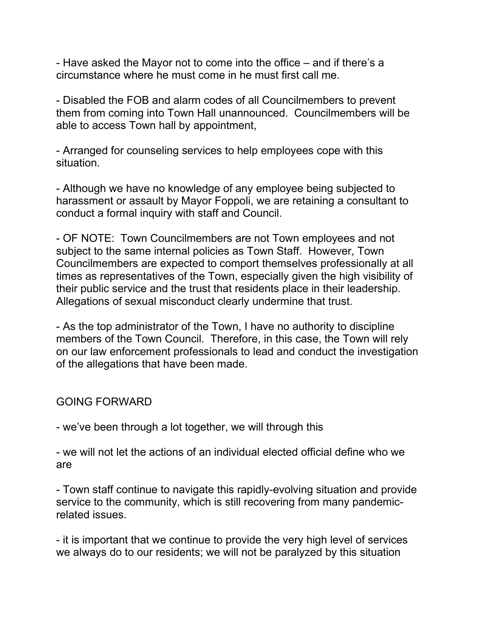- Have asked the Mayor not to come into the office – and if there's a circumstance where he must come in he must first call me.

- Disabled the FOB and alarm codes of all Councilmembers to prevent them from coming into Town Hall unannounced. Councilmembers will be able to access Town hall by appointment,

- Arranged for counseling services to help employees cope with this situation.

- Although we have no knowledge of any employee being subjected to harassment or assault by Mayor Foppoli, we are retaining a consultant to conduct a formal inquiry with staff and Council.

- OF NOTE: Town Councilmembers are not Town employees and not subject to the same internal policies as Town Staff. However, Town Councilmembers are expected to comport themselves professionally at all times as representatives of the Town, especially given the high visibility of their public service and the trust that residents place in their leadership. Allegations of sexual misconduct clearly undermine that trust.

- As the top administrator of the Town, I have no authority to discipline members of the Town Council. Therefore, in this case, the Town will rely on our law enforcement professionals to lead and conduct the investigation of the allegations that have been made.

### GOING FORWARD

- we've been through a lot together, we will through this

- we will not let the actions of an individual elected official define who we are

- Town staff continue to navigate this rapidly-evolving situation and provide service to the community, which is still recovering from many pandemicrelated issues.

- it is important that we continue to provide the very high level of services we always do to our residents; we will not be paralyzed by this situation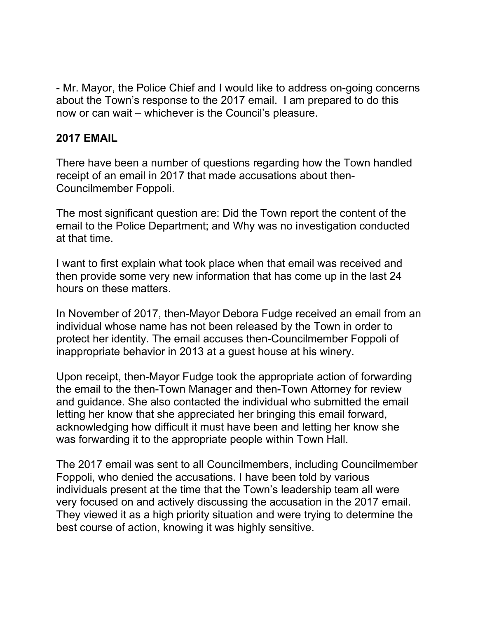- Mr. Mayor, the Police Chief and I would like to address on-going concerns about the Town's response to the 2017 email. I am prepared to do this now or can wait – whichever is the Council's pleasure.

### **2017 EMAIL**

There have been a number of questions regarding how the Town handled receipt of an email in 2017 that made accusations about then-Councilmember Foppoli.

The most significant question are: Did the Town report the content of the email to the Police Department; and Why was no investigation conducted at that time.

I want to first explain what took place when that email was received and then provide some very new information that has come up in the last 24 hours on these matters.

In November of 2017, then-Mayor Debora Fudge received an email from an individual whose name has not been released by the Town in order to protect her identity. The email accuses then-Councilmember Foppoli of inappropriate behavior in 2013 at a guest house at his winery.

Upon receipt, then-Mayor Fudge took the appropriate action of forwarding the email to the then-Town Manager and then-Town Attorney for review and guidance. She also contacted the individual who submitted the email letting her know that she appreciated her bringing this email forward, acknowledging how difficult it must have been and letting her know she was forwarding it to the appropriate people within Town Hall.

The 2017 email was sent to all Councilmembers, including Councilmember Foppoli, who denied the accusations. I have been told by various individuals present at the time that the Town's leadership team all were very focused on and actively discussing the accusation in the 2017 email. They viewed it as a high priority situation and were trying to determine the best course of action, knowing it was highly sensitive.